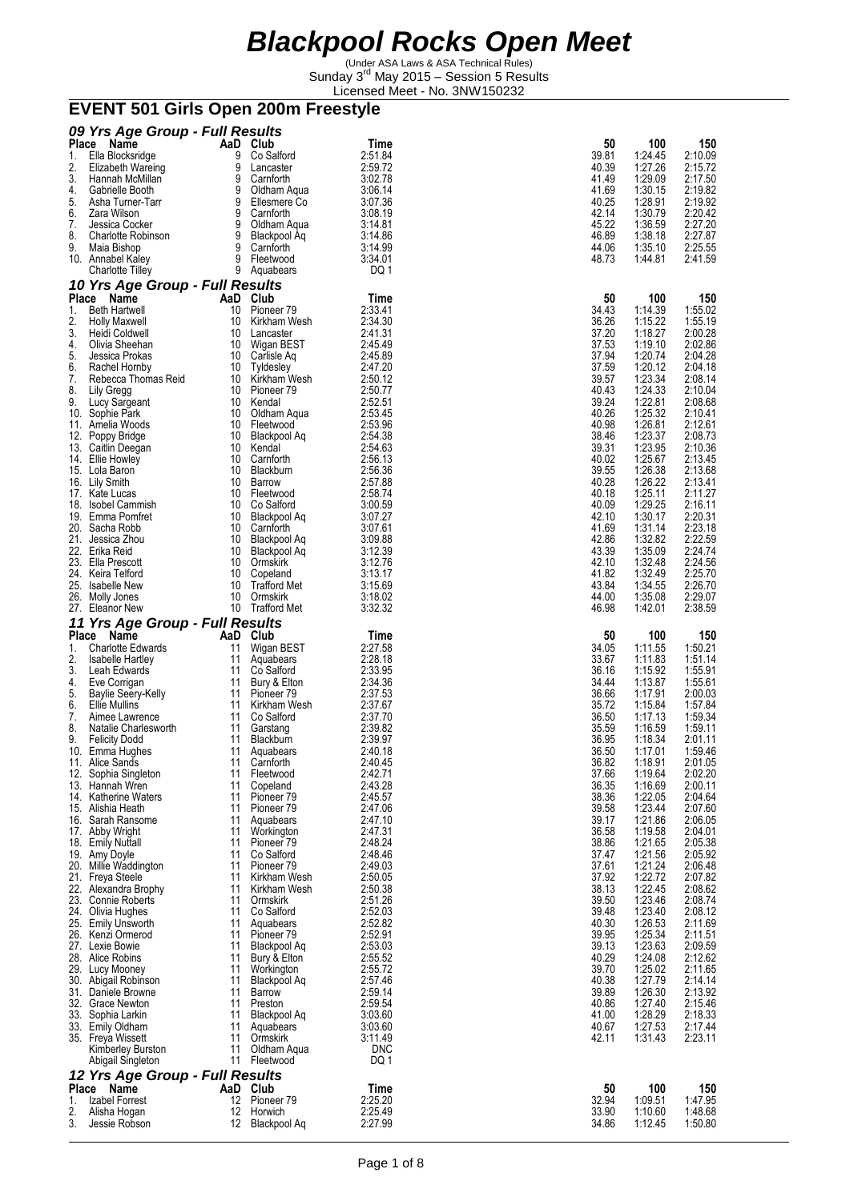(Under ASA Laws & ASA Technical Rules) Sunday 3<sup>rd</sup> May 2015 - Session 5 Results Licensed Meet - No. 3NW150232

# **EVENT 501 Girls Open 200m Freestyle**

|              | 09 Yrs Age Group - Full Results            |          |                                       |                       |                |                    |                    |
|--------------|--------------------------------------------|----------|---------------------------------------|-----------------------|----------------|--------------------|--------------------|
| <b>Place</b> | Name                                       |          | AaD Club                              | Time                  | 50             | 100                | 150                |
| 1.           | Ella Blocksridge                           | 9        | Co Salford                            | 2:51.84               | 39.81          | 1:24.45            | 2:10.09            |
| 2.           | Elizabeth Wareing                          | 9        | Lancaster                             | 2:59.72               | 40.39          | 1:27.26            | 2:15.72            |
| 3.<br>4.     | Hannah McMillan<br>Gabrielle Booth         | 9<br>9   | Carnforth<br>Oldham Aqua              | 3:02.78<br>3:06.14    | 41.49<br>41.69 | 1:29.09<br>1:30.15 | 2:17.50<br>2:19.82 |
| 5.           | Asha Turner-Tarr                           | 9        | Ellesmere Co                          | 3:07.36               | 40.25          | 1:28.91            | 2:19.92            |
| 6.           | Zara Wilson                                | 9        | Carnforth                             | 3:08.19               | 42.14          | 1:30.79            | 2:20.42            |
| 7.           | Jessica Cocker                             | 9        | Oldham Aqua                           | 3:14.81               | 45.22          | 1:36.59            | 2:27.20            |
| 8.<br>9.     | <b>Charlotte Robinson</b><br>Maia Bishop   | 9<br>9   | Blackpool Aq<br>Carnforth             | 3:14.86<br>3:14.99    | 46.89<br>44.06 | 1:38.18<br>1:35.10 | 2:27.87<br>2:25.55 |
|              | 10. Annabel Kaley                          | 9        | Fleetwood                             | 3:34.01               | 48.73          | 1:44.81            | 2:41.59            |
|              | Charlotte Tilley                           |          | 9 Aquabears                           | DQ 1                  |                |                    |                    |
|              | 10 Yrs Age Group - Full Results            |          |                                       |                       |                |                    |                    |
| Place<br>1.  | Name<br><b>Beth Hartwell</b>               | 10       | AaD Club<br>Pioneer 79                | Time<br>2:33.41       | 50<br>34.43    | 100<br>1:14.39     | 150<br>1:55.02     |
| 2.           | <b>Holly Maxwell</b>                       | 10       | Kirkham Wesh                          | 2:34.30               | 36.26          | 1:15.22            | 1:55.19            |
| 3.           | Heidi Coldwell                             | 10       | Lancaster                             | 2:41.31               | 37.20          | 1:18.27            | 2:00.28            |
| 4.           | Olivia Sheehan                             | 10       | Wigan BEST                            | 2:45.49               | 37.53          | 1:19.10            | 2:02.86            |
| 5.<br>6.     | Jessica Prokas<br>Rachel Hornby            | 10<br>10 | Carlisle Aq<br>Tyldesley              | 2:45.89<br>2:47.20    | 37.94<br>37.59 | 1:20.74<br>1:20.12 | 2:04.28<br>2:04.18 |
| 7.           | Rebecca Thomas Reid                        | 10       | Kirkham Wesh                          | 2:50.12               | 39.57          | 1:23.34            | 2:08.14            |
| 8.           | Lily Gregg                                 | 10       | Pioneer 79                            | 2:50.77               | 40.43          | 1:24.33            | 2:10.04            |
| 9.           | Lucy Sargeant                              | 10<br>10 | Kendal                                | 2:52.51<br>2:53.45    | 39.24<br>40.26 | 1:22.81            | 2:08.68            |
|              | 10. Sophie Park<br>11. Amelia Woods        | 10       | Oldham Aqua<br>Fleetwood              | 2:53.96               | 40.98          | 1:25.32<br>1:26.81 | 2:10.41<br>2:12.61 |
|              | 12. Poppy Bridge                           | 10       | Blackpool Aq                          | 2:54.38               | 38.46          | 1:23.37            | 2:08.73            |
|              | 13. Caitlin Deegan                         | 10       | Kendal                                | 2:54.63               | 39.31          | 1:23.95            | 2:10.36            |
|              | 14. Ellie Howley<br>15. Lola Baron         | 10<br>10 | Carnforth<br>Blackburn                | 2:56.13<br>2:56.36    | 40.02<br>39.55 | 1:25.67<br>1:26.38 | 2:13.45<br>2:13.68 |
|              | 16. Lily Smith                             | 10       | Barrow                                | 2:57.88               | 40.28          | 1:26.22            | 2:13.41            |
|              | 17. Kate Lucas                             | 10       | Fleetwood                             | 2:58.74               | 40.18          | 1:25.11            | 2:11.27            |
|              | 18. Isobel Cammish                         | 10       | Co Salford                            | 3:00.59               | 40.09          | 1:29.25            | 2:16.11            |
|              | 19. Emma Pomfret<br>20. Sacha Robb         | 10<br>10 | Blackpool Aq<br>Carnforth             | 3:07.27<br>3:07.61    | 42.10<br>41.69 | 1:30.17<br>1.31.14 | 2:20.31<br>2:23.18 |
|              | 21. Jessica Zhou                           | 10       | Blackpool Aq                          | 3:09.88               | 42.86          | 1:32.82            | 2:22.59            |
|              | 22. Erika Reid                             | 10       | Blackpool Aq                          | 3:12.39               | 43.39          | 1:35.09            | 2:24.74            |
|              | 23. Ella Prescott                          | 10       | Ormskirk                              | 3:12.76               | 42.10          | 1:32.48            | 2:24.56            |
|              | 24. Keira Telford<br>25. Isabelle New      | 10<br>10 | Copeland<br><b>Trafford Met</b>       | 3:13.17<br>3:15.69    | 41.82<br>43.84 | 1:32.49<br>1:34.55 | 2:25.70<br>2:26.70 |
|              | 26. Molly Jones                            | 10       | Ormskirk                              | 3:18.02               | 44.00          | 1:35.08            | 2:29.07            |
|              |                                            |          |                                       |                       |                |                    | 2:38.59            |
|              | 27. Eleanor New                            |          | 10 Trafford Met                       | 3:32.32               | 46.98          | 1:42.01            |                    |
|              | 11 Yrs Age Group - Full Results            |          |                                       |                       |                |                    |                    |
|              | Place Name                                 | AaD      | Club                                  | Time                  | 50             | 100                | 150                |
| 1.           | <b>Charlotte Edwards</b>                   | 11       | Wigan BEST                            | 2:27.58               | 34.05          | 1:11.55            | 1:50.21            |
| 2.<br>3.     | Isabelle Hartley<br>Leah Edwards           | 11<br>11 | Aquabears<br>Co Salford               | 2:28.18<br>2:33.95    | 33.67<br>36.16 | 1:11.83<br>1:15.92 | 1:51.14<br>1:55.91 |
| 4.           | Eve Corrigan                               | 11       | Bury & Elton                          | 2:34.36               | 34.44          | 1:13.87            | 1:55.61            |
| 5.           | <b>Baylie Seery-Kelly</b>                  | 11       | Pioneer 79                            | 2:37.53               | 36.66          | 1:17.91            | 2:00.03            |
| 6.<br>7.     | Ellie Mullins<br>Aimee Lawrence            | 11<br>11 | Kirkham Wesh<br>Co Salford            | 2:37.67<br>2:37.70    | 35.72<br>36.50 | 1:15.84<br>1:17.13 | 1:57.84<br>1:59.34 |
| 8.           | Natalie Charlesworth                       | 11       | Garstang                              | 2:39.82               | 35.59          | 1:16.59            | 1:59.11            |
| 9.           | <b>Felicity Dodd</b>                       | 11       | Blackburn                             | 2:39.97               | 36.95          | 1:18.34            | 2:01.11            |
|              | 10. Emma Hughes                            | 11       | Aquabears                             | 2:40.18               | 36.50          | 1:17.01            | 1:59.46            |
| 11.          | Alice Sands                                | 11<br>11 | Carnforth<br>Fleetwood                | 2:40.45<br>2:42.71    | 36.82<br>37.66 | 1:18.91<br>1:19.64 | 2:01.05<br>2:02.20 |
|              | 12. Sophia Singleton<br>13. Hannah Wren    | 11       | Copeland                              | 2:43.28               | 36.35          | 1:16.69            | 2:00.11            |
|              | 14. Katherine Waters                       | 11       | Pioneer <sub>79</sub>                 | 2:45.57               | 38.36          | 1:22.05            | 2:04.64            |
|              | 15. Alishia Heath                          | 11       | Pioneer <sub>79</sub>                 | 2:47.06               | 39.58          | 1:23.44            | 2:07.60            |
|              | 16. Sarah Ransome<br>17. Abby Wright       | 11<br>11 | Aquabears<br>Workington               | 2:47.10<br>2:47.31    | 39.17<br>36.58 | 1:21.86<br>1:19.58 | 2:06.05<br>2:04.01 |
|              | 18. Emily Nuttall                          | 11       | Pioneer <sub>79</sub>                 | 2:48.24               | 38.86          | 1:21.65            | 2:05.38            |
|              | 19. Amy Doyle                              | 11       | Co Salford                            | 2:48.46               | 37.47          | 1:21.56            | 2:05.92            |
|              | 20. Millie Waddington                      | 11<br>11 | Pioneer <sub>79</sub><br>Kirkham Wesh | 2:49.03<br>2:50.05    | 37.61          | 1:21.24<br>1:22.72 | 2:06.48<br>2:07.82 |
|              | 21. Freya Steele<br>22. Alexandra Brophy   | 11       | Kirkham Wesh                          | 2:50.38               | 37.92<br>38.13 | 1:22.45            | 2:08.62            |
|              | 23. Connie Roberts                         | 11       | Ormskirk                              | 2:51.26               | 39.50          | 1:23.46            | 2:08.74            |
|              | 24. Olivia Hughes                          | 11       | Co Salford                            | 2:52.03               | 39.48          | 1:23.40            | 2:08.12            |
|              | 25. Emily Unsworth<br>26. Kenzi Ormerod    | 11<br>11 | Aquabears<br>Pioneer <sub>79</sub>    | 2:52.82<br>2:52.91    | 40.30          | 1:26.53            | 2:11.69<br>2:11.51 |
|              | 27. Lexie Bowie                            | 11       | Blackpool Aq                          | 2:53.03               | 39.95<br>39.13 | 1:25.34<br>1:23.63 | 2:09.59            |
|              | 28. Alice Robins                           | 11       | Bury & Elton                          | 2:55.52               | 40.29          | 1:24.08            | 2:12.62            |
|              | 29. Lucy Mooney                            | 11       | Workington                            | 2:55.72               | 39.70          | 1:25.02            | 2:11.65            |
|              | 30. Abigail Robinson<br>31. Daniele Browne | 11<br>11 | Blackpool Aq<br>Barrow                | 2:57.46<br>2:59.14    | 40.38<br>39.89 | 1:27.79<br>1:26.30 | 2:14.14<br>2:13.92 |
|              | 32. Grace Newton                           | 11       | Preston                               | 2:59.54               | 40.86          | 1:27.40            | 2:15.46            |
|              | 33. Sophia Larkin                          | 11       | Blackpool Aq                          | 3:03.60               | 41.00          | 1:28.29            | 2:18.33            |
|              | 33. Emily Oldham                           | 11<br>11 | Aquabears                             | 3:03.60               | 40.67          | 1:27.53            | 2:17.44            |
|              | 35. Freya Wissett<br>Kimberley Burston     | 11       | Ormskirk<br>Oldham Aqua               | 3:11.49<br><b>DNC</b> | 42.11          | 1:31.43            | 2:23.11            |
|              | Abigail Singleton                          | 11       | Fleetwood                             | DQ 1                  |                |                    |                    |
|              | 12 Yrs Age Group - Full Results            |          |                                       |                       |                |                    |                    |
|              | Place Name                                 | AaD      | Club                                  | Time                  | 50             | 100                | 150                |
| 1.<br>2.     | Izabel Forrest<br>Alisha Hogan             | 12<br>12 | Pioneer <sub>79</sub><br>Horwich      | 2:25.20<br>2:25.49    | 32.94<br>33.90 | 1:09.51<br>1:10.60 | 1:47.95<br>1:48.68 |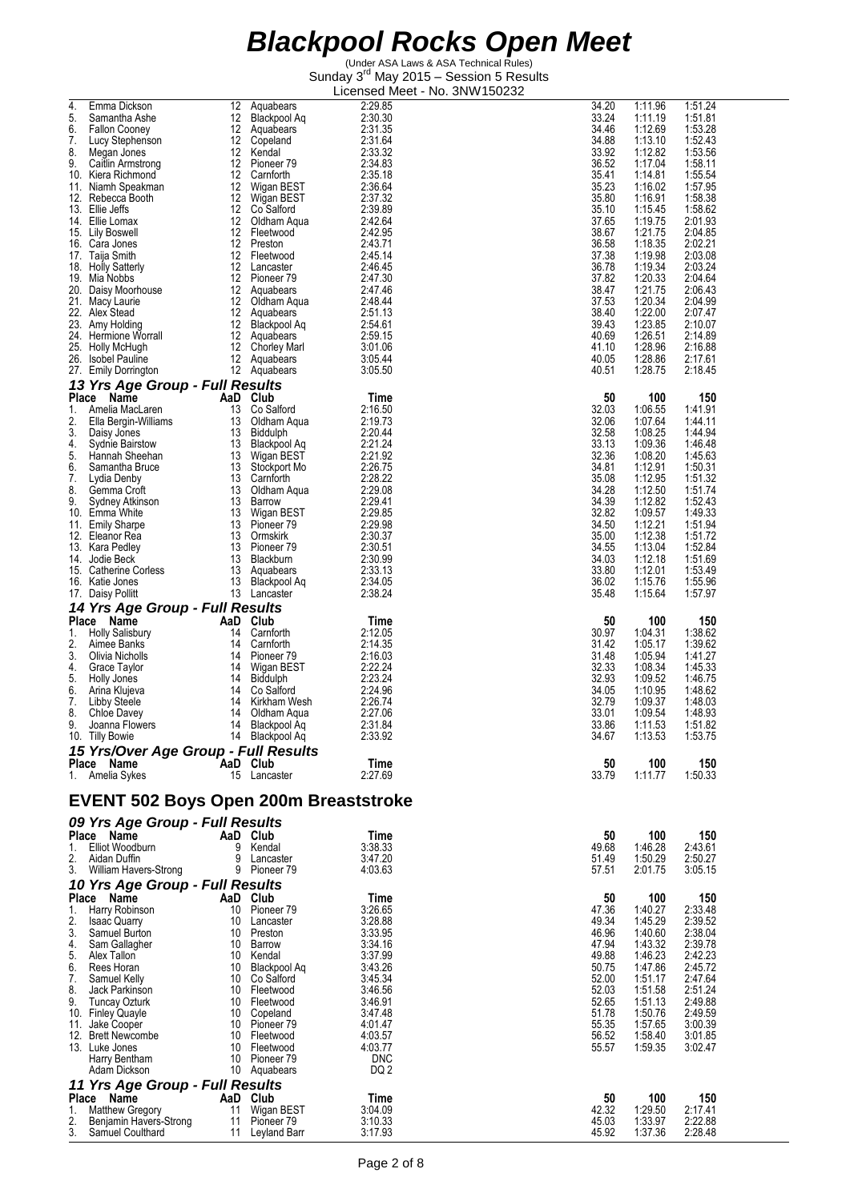| 4.<br>Emma Dickson<br>5.<br>Samantha Ashe              | 12<br>12               | Aquabears<br>Blackpool Aq            | 2:29.85<br>2:30.30 | 34.20<br>33.24 | 1:11.96<br>1:11.19 | 1:51.24<br>1:51.81 |
|--------------------------------------------------------|------------------------|--------------------------------------|--------------------|----------------|--------------------|--------------------|
| 6.<br><b>Fallon Cooney</b>                             |                        | 12 Aquabears                         | 2:31.35            | 34.46          | 1:12.69            | 1:53.28            |
| 7.<br>Lucy Stephenson<br>8.                            |                        | 12 Copeland                          | 2:31.64            | 34.88          | 1:13.10            | 1:52.43            |
| Megan Jones<br>9.<br>Caitlin Armstrong                 |                        | 12 Kendal<br>12 Pioneer 79           | 2:33.32<br>2:34.83 | 33.92<br>36.52 | 1:12.82<br>1:17.04 | 1:53.56<br>1:58.11 |
| 10. Kiera Richmond                                     |                        | 12 Carnforth                         | 2:35.18            | 35.41          | 1:14.81            | 1:55.54            |
| 11. Niamh Speakman<br>12. Rebecca Booth                | 12 <sup>2</sup><br>12  | Wigan BEST<br>Wigan BEST             | 2:36.64<br>2:37.32 | 35.23<br>35.80 | 1:16.02<br>1:16.91 | 1:57.95<br>1:58.38 |
| 13. Ellie Jeffs                                        | 12                     | Co Salford                           | 2:39.89            | 35.10          | 1:15.45            | 1:58.62            |
| 14. Ellie Lomax                                        | 12                     | Oldham Aqua                          | 2:42.64            | 37.65          | 1:19.75            | 2:01.93            |
| 15. Lily Boswell<br>16. Cara Jones                     | 12<br>12 <sup>12</sup> | Fleetwood<br>Preston                 | 2:42.95<br>2:43.71 | 38.67<br>36.58 | 1:21.75<br>1:18.35 | 2:04.85<br>2:02.21 |
| 17. Taija Smith                                        |                        | 12 Fleetwood                         | 2:45.14            | 37.38          | 1:19.98            | 2:03.08            |
| 18. Holly Satterly<br>19. Mia Nobbs                    |                        | 12 Lancaster<br>12 Pioneer 79        | 2:46.45<br>2:47.30 | 36.78<br>37.82 | 1:19.34<br>1:20.33 | 2:03.24<br>2:04.64 |
| 20. Daisy Moorhouse                                    |                        | 12 Aquabears                         | 2:47.46            | 38.47          | 1:21.75            | 2:06.43            |
| 21. Macy Laurie                                        |                        | 12 Oldham Aqua                       | 2:48.44            | 37.53          | 1:20.34            | 2:04.99            |
| 22. Alex Stead<br>23. Amy Holding                      |                        | 12 Aquabears<br>12 Blackpool Aq      | 2:51.13<br>2:54.61 | 38.40<br>39.43 | 1:22.00<br>1:23.85 | 2:07.47<br>2:10.07 |
| 24. Hermione Worrall                                   |                        | 12 Aquabears                         | 2:59.15            | 40.69          | 1:26.51            | 2:14.89            |
| 25. Holly McHugh<br>26. Isobel Pauline                 |                        | 12 Chorley Marl<br>12 Aquabears      | 3:01.06<br>3:05.44 | 41.10<br>40.05 | 1:28.96<br>1:28.86 | 2:16.88<br>2:17.61 |
| 27. Emily Dorrington                                   |                        | 12 Aquabears                         | 3:05.50            | 40.51          | 1:28.75            | 2:18.45            |
| 13 Yrs Age Group - Full Results                        |                        |                                      |                    |                |                    |                    |
| Place Name                                             |                        | AaD Club                             | Time               | 50             | 100                | 150                |
| 1.<br>Amelia MacLaren<br>2.<br>Ella Bergin-Williams    | 13<br>13               | Co Salford<br>Oldham Aqua            | 2:16.50<br>2:19.73 | 32.03<br>32.06 | 1:06.55<br>1:07.64 | 1:41.91<br>1:44.11 |
| 3.<br>Daisy Jones                                      | 13                     | Biddulph                             | 2:20.44            | 32.58          | 1:08.25            | 1:44.94            |
| 4.<br><b>Sydnie Bairstow</b><br>5.<br>Hannah Sheehan   | 13                     | <b>Blackpool Aq</b><br>13 Wigan BEST | 2:21.24<br>2:21.92 | 33.13<br>32.36 | 1:09.36<br>1:08.20 | 1:46.48<br>1:45.63 |
| 6.<br>Samantha Bruce                                   | 13                     | Stockport Mo                         | 2:26.75            | 34.81          | 1:12.91            | 1:50.31            |
| 7.<br>Lydia Denby                                      | 13                     | Carnforth                            | 2:28.22            | 35.08          | 1:12.95            | 1:51.32            |
| 8.<br>Gemma Croft<br>9.<br>Sydney Atkinson             | 13<br>13               | Oldham Aqua<br>Barrow                | 2:29.08<br>2:29.41 | 34.28<br>34.39 | 1:12.50<br>1:12.82 | 1:51.74<br>1:52.43 |
| 10. Emma White                                         |                        | 13 Wigan BEST                        | 2:29.85            | 32.82          | 1:09.57            | 1:49.33            |
| 11. Emily Sharpe<br>12. Eleanor Rea                    | 13                     | 13 Pioneer 79<br>Ormskirk            | 2:29.98<br>2:30.37 | 34.50<br>35.00 | 1:12.21<br>1:12.38 | 1:51.94<br>1:51.72 |
| 13. Kara Pedley                                        |                        | 13 Pioneer 79                        | 2:30.51            | 34.55          | 1:13.04            | 1:52.84            |
| 14. Jodie Beck                                         |                        | 13 Blackburn                         | 2:30.99            | 34.03<br>33.80 | 1:12.18            | 1:51.69<br>1:53.49 |
| 15. Catherine Corless<br>16. Katie Jones               |                        | 13 Aquabears<br>13 Blackpool Aq      | 2:33.13<br>2:34.05 | 36.02          | 1:12.01<br>1:15.76 | 1:55.96            |
| 17. Daisy Pollitt                                      |                        | 13 Lancaster                         | 2:38.24            | 35.48          | 1:15.64            | 1:57.97            |
| 14 Yrs Age Group - Full Results                        |                        |                                      |                    |                |                    |                    |
| Place Name<br><b>Holly Salisbury</b><br>1.             | 14                     | AaD Club<br>Carnforth                | Time<br>2:12.05    | 50<br>30.97    | 100<br>1:04.31     | 150<br>1:38.62     |
| 2.<br>Aimee Banks                                      | 14                     | Carnforth                            | 2:14.35            | 31.42          | 1:05.17            | 1:39.62            |
| 3.<br>Olivia Nicholls<br>Grace Taylor<br>4.            | 14<br>14               | Pioneer 79<br>Wigan BEST             | 2:16.03<br>2:22.24 | 31.48<br>32.33 | 1:05.94<br>1:08.34 | 1:41.27<br>1:45.33 |
| 5.<br>Holly Jones                                      |                        | 14 Biddulph                          | 2:23.24            | 32.93          | 1:09.52            | 1:46.75            |
| 6.<br>Arina Klujeva                                    | 14                     | Co Salford                           | 2:24.96            | 34.05          | 1:10.95            | 1:48.62            |
| 7.<br>Libby Steele<br>8.<br>Chloe Davey                | 14<br>14               | Kirkham Wesh<br>Oldham Aqua          | 2:26.74<br>2:27.06 | 32.79<br>33.01 | 1:09.37<br>1:09.54 | 1:48.03<br>1:48.93 |
| 9.<br>Joanna Flowers                                   | 14                     | Blackpool Ag                         | 2:31.84            | 33.86          | 1:11.53            | 1:51.82            |
| 10. Tilly Bowie                                        | 14                     | <b>Blackpool Aq</b>                  | 2:33.92            | 34.67          | 1:13.53            | 1:53.75            |
| 15 Yrs/Over Age Group - Full Results<br>Place Name     | AaD Club               |                                      | Time               | 50             | 100                | 150                |
| 1. Amelia Sykes                                        |                        | 15 Lancaster                         | 2:27.69            | 33.79          | 1:11.77            | 1:50.33            |
| EVENT 502 Boys Open 200m Breaststroke                  |                        |                                      |                    |                |                    |                    |
| 09 Yrs Age Group - Full Results                        |                        |                                      |                    |                |                    |                    |
| Place Name<br>Elliot Woodburn<br>1.                    | 9                      | AaD Club<br>Kendal                   | Time<br>3:38.33    | 50<br>49.68    | 100<br>1:46.28     | 150<br>2:43.61     |
| 2.<br>Aidan Duffin                                     | 9                      | Lancaster                            | 3:47.20            | 51.49          | 1:50.29            | 2:50.27            |
| 3.<br>William Havers-Strong                            |                        | 9 Pioneer 79                         | 4.03.63            | 57.51          | 2:01.75            | 3:05.15            |
| 10 Yrs Age Group - Full Results                        |                        |                                      |                    |                |                    |                    |
| Place Name<br>1.<br>Harry Robinson                     |                        | AaD Club<br>10 Pioneer 79            | Time<br>3:26.65    | 50<br>47.36    | 100<br>1:40.27     | 150<br>2:33.48     |
| 2.<br><b>Isaac Quarry</b>                              |                        | 10 Lancaster                         | 3:28.88            | 49.34          | 1:45.29            | 2:39.52            |
| 3.<br>Samuel Burton<br>4.<br>Sam Gallagher             |                        | 10 Preston<br>10 Barrow              | 3:33.95<br>3:34.16 | 46.96<br>47.94 | 1:40.60<br>1:43.32 | 2:38.04<br>2:39.78 |
| 5.<br>Alex Tallon                                      |                        | 10 Kendal                            | 3:37.99            | 49.88          | 1:46.23            | 2:42.23            |
| 6.<br>Rees Horan                                       |                        | 10 Blackpool Aq                      | 3:43.26            | 50.75          | 1:47.86            | 2:45.72            |
| 7.<br>Samuel Kelly<br>8.<br>Jack Parkinson             |                        | 10 Co Salford<br>10 Fleetwood        | 3:45.34<br>3:46.56 | 52.00<br>52.03 | 1:51.17<br>1:51.58 | 2:47.64<br>2:51.24 |
| 9.<br>Tuncay Ozturk                                    |                        | 10 Fleetwood                         | 3:46.91            | 52.65          | 1:51.13            | 2:49.88            |
| 10. Finley Quayle<br>11. Jake Cooper                   |                        | 10 Copeland<br>10 Pioneer 79         | 3:47.48<br>4:01.47 | 51.78<br>55.35 | 1:50.76<br>1:57.65 | 2:49.59<br>3:00.39 |
| 12. Brett Newcombe                                     |                        | 10 Fleetwood                         | 4:03.57            | 56.52          | 1:58.40            | 3:01.85            |
| 13. Luke Jones                                         |                        | 10 Fleetwood                         | 4:03.77            | 55.57          | 1:59.35            | 3:02.47            |
| Harry Bentham<br>Adam Dickson                          |                        | 10 Pioneer 79<br>10 Aquabears        | <b>DNC</b><br>DQ 2 |                |                    |                    |
| 11 Yrs Age Group - Full Results                        |                        |                                      |                    |                |                    |                    |
| Place Name                                             |                        | AaD Club                             | Time               | 50             | 100                | 150                |
| 1.<br><b>Matthew Gregory</b><br>Benjamin Havers-Strong |                        | 11 Wigan BEST<br>11 Pioneer 79       | 3:04.09<br>3:10.33 | 42.32<br>45.03 | 1:29.50<br>1:33.97 | 2:17.41<br>2:22.88 |
| 3.<br>Samuel Coulthard                                 |                        | 11 Leyland Barr                      | 3:17.93            | 45.92          | 1:37.36            | 2:28.48            |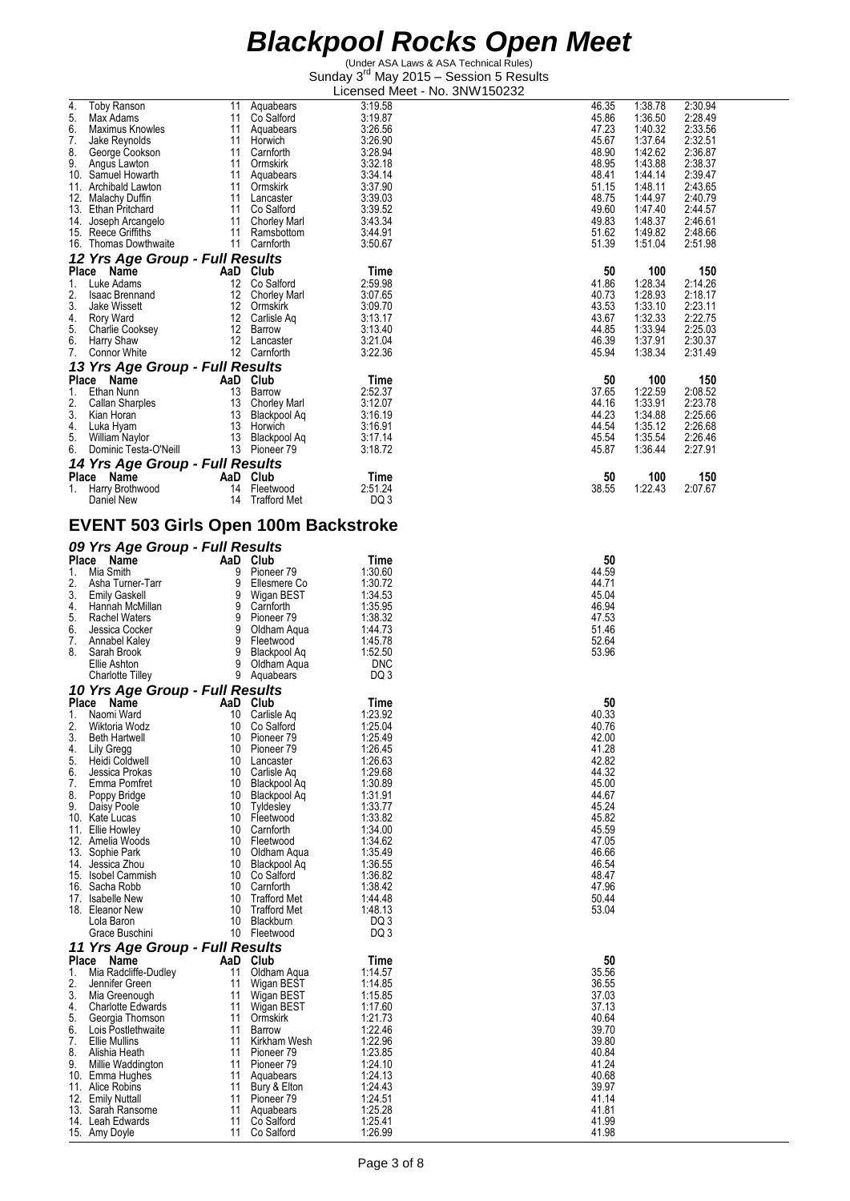|    |                                             |                 |                          |                    | <b>IVO. UIVIV IUULUL</b> |                |         |         |
|----|---------------------------------------------|-----------------|--------------------------|--------------------|--------------------------|----------------|---------|---------|
| 4. | Toby Ranson                                 | 11              | Aquabears                | 3:19.58            |                          | 46.35          | 1:38.78 | 2:30.94 |
| 5. | Max Adams                                   |                 | 11 Co Salford            | 3:19.87            |                          | 45.86          | 1:36.50 | 2:28.49 |
| 6. | Maximus Knowles                             | 11              | Aquabears                | 3:26.56            |                          | 47.23          | 1:40.32 | 2:33.56 |
| 7. | Jake Reynolds                               | 11              | Horwich                  | 3:26.90            |                          | 45.67          | 1:37.64 | 2:32.51 |
|    |                                             |                 |                          |                    |                          | 48.90          |         |         |
| 8. | George Cookson                              | 11              | Carnforth                | 3:28.94            |                          |                | 1:42.62 | 2:36.87 |
| 9. | Angus Lawton                                | 11              | Ormskirk                 | 3:32.18            |                          | 48.95          | 1:43.88 | 2:38.37 |
|    | 10. Samuel Howarth                          | 11              | Aquabears                | 3:34.14            |                          | 48.41          | 1:44.14 | 2:39.47 |
|    | 11. Archibald Lawton                        | 11              | Ormskirk                 | 3:37.90            |                          | 51.15          | 1:48.11 | 2:43.65 |
|    | 12. Malachy Duffin                          |                 | 11 Lancaster             | 3:39.03            |                          | 48.75          | 1:44.97 | 2:40.79 |
|    | 13. Ethan Pritchard                         | 11              | Co Salford               | 3:39.52            |                          | 49.60          | 1:47.40 | 2:44.57 |
|    |                                             |                 |                          |                    |                          |                |         |         |
|    | 14. Joseph Arcangelo                        | 11              | Chorley Marl             | 3:43.34            |                          | 49.83          | 1:48.37 | 2:46.61 |
|    | 15. Reece Griffiths                         | 11              | Ramsbottom               | 3:44.91            |                          | 51.62          | 1:49.82 | 2:48.66 |
|    | 16. Thomas Dowthwaite                       |                 | 11 Carnforth             | 3:50.67            |                          | 51.39          | 1:51.04 | 2:51.98 |
|    | 12 Yrs Age Group - Full Results             |                 |                          |                    |                          |                |         |         |
|    |                                             |                 |                          |                    |                          |                |         |         |
|    | Place Name                                  |                 | AaD Club                 | Time               |                          | 50             | 100     | 150     |
| 1. | Luke Adams                                  | 12 <sup>°</sup> | Co Salford               | 2:59.98            |                          | 41.86          | 1:28.34 | 2:14.26 |
| 2. | <b>Isaac Brennand</b>                       | 12              | Chorley Marl             | 3:07.65            |                          | 40.73          | 1:28.93 | 2:18.17 |
| 3. | Jake Wissett                                |                 | 12 Ormskirk              | 3:09.70            |                          | 43.53          | 1:33.10 | 2:23.11 |
| 4. | Rory Ward                                   |                 | 12 Carlisle Aq           | 3:13.17            |                          | 43.67          | 1:32.33 | 2:22.75 |
| 5. | Charlie Cooksey                             | 12              | Barrow                   | 3:13.40            |                          | 44.85          | 1:33.94 | 2:25.03 |
|    |                                             |                 |                          |                    |                          |                |         |         |
| 6. | Harry Shaw                                  |                 | 12 Lancaster             | 3:21.04            |                          | 46.39          | 1:37.91 | 2:30.37 |
| 7. | Connor White                                |                 | 12 Carnforth             | 3:22.36            |                          | 45.94          | 1:38.34 | 2:31.49 |
|    | 13 Yrs Age Group - Full Results             |                 |                          |                    |                          |                |         |         |
|    | Place Name                                  |                 | AaD Club                 | Time               |                          | 50             | 100     | 150     |
|    |                                             |                 |                          |                    |                          |                |         |         |
| 1. | Ethan Nunn                                  | 13              | Barrow                   | 2:52.37            |                          | 37.65          | 1:22.59 | 2:08.52 |
| 2. | Callan Sharples                             | 13              | Chorley Marl             | 3:12.07            |                          | 44.16          | 1:33.91 | 2:23.78 |
| 3. | Kian Horan                                  |                 | 13 Blackpool Aq          | 3:16.19            |                          | 44.23          | 1:34.88 | 2:25.66 |
| 4. | Luka Hyam                                   | 13              | Horwich                  | 3:16.91            |                          | 44.54          | 1:35.12 | 2:26.68 |
| 5. | William Naylor                              | 13              | Blackpool Ag             | 3:17.14            |                          | 45.54          | 1:35.54 | 2:26.46 |
| 6. | Dominic Testa-O'Neill                       |                 | 13 Pioneer 79            | 3:18.72            |                          | 45.87          | 1:36.44 | 2:27.91 |
|    |                                             |                 |                          |                    |                          |                |         |         |
|    | 14 Yrs Age Group - Full Results             |                 |                          |                    |                          |                |         |         |
|    | Place Name                                  |                 | AaD Club                 | Time               |                          | 50             | 100     | 150     |
| 1. | Harry Brothwood                             | 14              | Fleetwood                | 2:51.24            |                          | 38.55          | 1:22.43 | 2:07.67 |
|    | Daniel New                                  | 14              | <b>Trafford Met</b>      | DQ 3               |                          |                |         |         |
|    |                                             |                 |                          |                    |                          |                |         |         |
|    |                                             |                 |                          |                    |                          |                |         |         |
|    | <b>EVENT 503 Girls Open 100m Backstroke</b> |                 |                          |                    |                          |                |         |         |
|    |                                             |                 |                          |                    |                          |                |         |         |
|    | 09 Yrs Age Group - Full Results             |                 |                          |                    |                          |                |         |         |
|    | Place Name                                  |                 | AaD Club                 | Time               |                          | 50             |         |         |
|    |                                             |                 |                          |                    |                          |                |         |         |
| 1. | Mia Smith                                   | 9               | Pioneer 79               | 1:30.60            |                          | 44.59          |         |         |
| 2. | Asha Turner-Tarr                            | 9               | Ellesmere Co             | 1:30.72            |                          | 44.71          |         |         |
| 3. | <b>Emily Gaskell</b>                        | 9               | Wigan BEST               | 1:34.53            |                          | 45.04          |         |         |
| 4. | Hannah McMillan                             | 9               | Carnforth                | 1:35.95            |                          | 46.94          |         |         |
| 5. | Rachel Waters                               | 9               | Pioneer 79               | 1:38.32            |                          | 47.53          |         |         |
| 6. | Jessica Cocker                              | 9               | Oldham Aqua              | 1:44.73            |                          | 51.46          |         |         |
|    |                                             |                 |                          |                    |                          |                |         |         |
| 7. | Annabel Kaley                               | 9               | Fleetwood                | 1:45.78            |                          | 52.64          |         |         |
| 8. | Sarah Brook                                 | 9               | Blackpool Ag             | 1:52.50            |                          | 53.96          |         |         |
|    | Ellie Ashton                                | $\overline{9}$  | Oldham Aqua              | <b>DNC</b>         |                          |                |         |         |
|    | Charlotte Tilley                            |                 | 9 Aquabears              | DQ 3               |                          |                |         |         |
|    |                                             |                 |                          |                    |                          |                |         |         |
|    | 10 Yrs Age Group - Full Results             |                 |                          |                    |                          |                |         |         |
|    | Place Name                                  |                 | AaD Club                 | Time               |                          | 50             |         |         |
| 1. | Naomi Ward                                  | 10              | Carlisle Aq              | 1:23.92            |                          | 40.33          |         |         |
| 2. |                                             |                 |                          |                    |                          |                |         |         |
|    | Wiktoria Wodz                               | 10              | Co Salford               | 1:25.04            |                          | 40.76          |         |         |
|    |                                             |                 |                          |                    |                          |                |         |         |
| 3. | <b>Beth Hartwell</b>                        | 10              | Pioneer 79               | 1:25.49            |                          | 42.00          |         |         |
| 4. | Lily Gregg                                  | 10              | Pioneer 79               | 1:26.45            |                          | 41.28          |         |         |
| 5. | Heidi Coldwell                              | 10              | Lancaster                | 1:26.63            |                          | 42.82          |         |         |
| 6. | Jessica Prokas                              | 10              | Carlisle Ag              | 1:29.68            |                          | 44.32          |         |         |
| 7. | Emma Pomfret                                | 10              | Blackpool Ag             | 1:30.89            |                          | 45.00          |         |         |
| 8. | Poppy Bridge                                | 10              | Blackpool Ag             | 1:31.91            |                          | 44.67          |         |         |
| 9. | Daisy Poole                                 | 10              | Tyldesley                | 1:33.77            |                          | 45.24          |         |         |
|    | 10. Kate Lucas                              | 10              | Fleetwood                | 1:33.82            |                          | 45.82          |         |         |
|    | 11. Ellie Howley                            | 10              | Carnforth                | 1:34.00            |                          | 45.59          |         |         |
|    | 12. Amelia Woods                            | 10              | Fleetwood                | 1:34.62            |                          | 47.05          |         |         |
|    |                                             |                 |                          |                    |                          |                |         |         |
|    | 13. Sophie Park                             | 10              | Oldham Agua              | 1:35.49            |                          | 46.66          |         |         |
|    | 14. Jessica Zhou                            | 10              | Blackpool Aq             | 1:36.55            |                          | 46.54          |         |         |
|    | 15. Isobel Cammish                          | 10              | Co Salford               | 1:36.82            |                          | 48.47          |         |         |
|    | 16. Sacha Robb                              | 10              | Carnforth                | 1:38.42            |                          | 47.96          |         |         |
|    | 17. Isabelle New                            | 10              | <b>Trafford Met</b>      | 1:44.48            |                          | 50.44          |         |         |
|    | 18. Eleanor New                             | 10              | <b>Trafford Met</b>      | 1:48.13            |                          | 53.04          |         |         |
|    | Lola Baron                                  | 10              | Blackburn                | DQ 3               |                          |                |         |         |
|    |                                             |                 |                          |                    |                          |                |         |         |
|    | Grace Buschini                              |                 | 10 Fleetwood             | DQ 3               |                          |                |         |         |
|    | 11 Yrs Age Group - Full Results             |                 |                          |                    |                          |                |         |         |
|    | Place Name                                  |                 | AaD Club                 | Time               |                          | 50             |         |         |
| 1. | Mia Radcliffe-Dudley                        | 11              | Oldham Aqua              | 1:14.57            |                          | 35.56          |         |         |
| 2. | Jennifer Green                              | 11              | Wigan BEST               | 1:14.85            |                          | 36.55          |         |         |
|    |                                             |                 |                          |                    |                          |                |         |         |
| 3. | Mia Greenough                               | 11              | Wigan BEST               | 1:15.85            |                          | 37.03          |         |         |
| 4. | <b>Charlotte Edwards</b>                    | 11              | Wigan BEST               | 1:17.60            |                          | 37.13          |         |         |
| 5. | Georgia Thomson                             | 11              | Ormskirk                 | 1:21.73            |                          | 40.64          |         |         |
| 6. | Lois Postlethwaite                          | 11              | Barrow                   | 1:22.46            |                          | 39.70          |         |         |
| 7. | <b>Ellie Mullins</b>                        | 11              | Kirkham Wesh             | 1:22.96            |                          | 39.80          |         |         |
| 8. | Alishia Heath                               | 11              | Pioneer 79               | 1:23.85            |                          | 40.84          |         |         |
| 9. | Millie Waddington                           | 11              | Pioneer <sub>79</sub>    | 1:24.10            |                          | 41.24          |         |         |
|    |                                             | 11              |                          |                    |                          |                |         |         |
|    | 10. Emma Hughes                             |                 | Aquabears                | 1:24.13            |                          | 40.68          |         |         |
|    | 11. Alice Robins                            | 11              | Bury & Elton             | 1:24.43            |                          | 39.97          |         |         |
|    | 12. Emily Nuttall                           | 11              | Pioneer <sub>79</sub>    | 1:24.51            |                          | 41.14          |         |         |
|    | 13. Sarah Ransome                           | 11              | Aquabears                | 1:25.28            |                          | 41.81          |         |         |
|    | 14. Leah Edwards<br>15. Amy Doyle           | 11<br>11        | Co Salford<br>Co Salford | 1:25.41<br>1:26.99 |                          | 41.99<br>41.98 |         |         |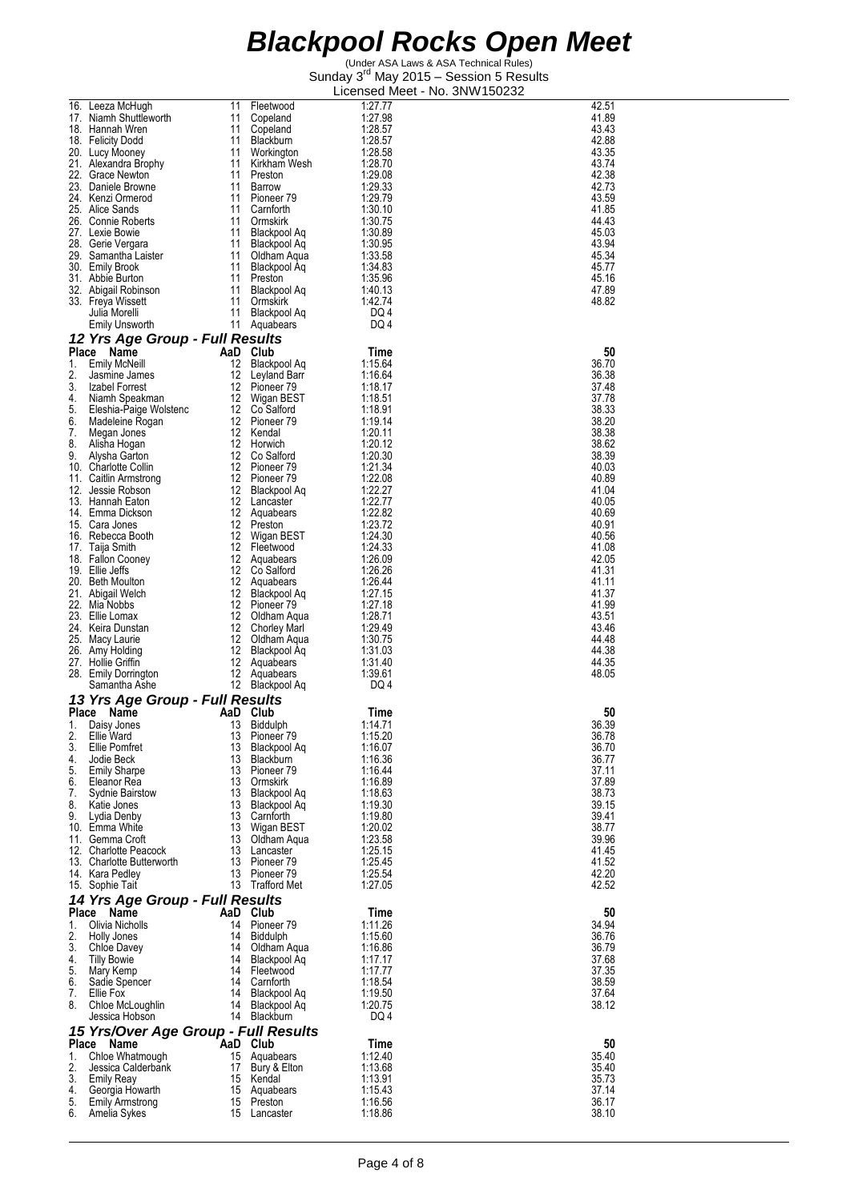|              | 16. Leeza McHugh                     | 11  | Fleetwood           | 1:27.77 | 42.51 |
|--------------|--------------------------------------|-----|---------------------|---------|-------|
|              | 17. Niamh Shuttleworth               | 11  | Copeland            | 1:27.98 | 41.89 |
|              | 18. Hannah Wren                      | 11  | Copeland            | 1:28.57 | 43.43 |
|              |                                      |     |                     | 1:28.57 |       |
|              | 18. Felicity Dodd                    | 11  | Blackburn           |         | 42.88 |
|              | 20. Lucy Mooney                      | 11  | Workington          | 1:28.58 | 43.35 |
|              | 21. Alexandra Brophy                 | 11  | Kirkham Wesh        | 1:28.70 | 43.74 |
|              | 22. Grace Newton                     | 11  | Preston             | 1:29.08 | 42.38 |
|              | 23. Daniele Browne                   | 11  | Barrow              | 1:29.33 | 42.73 |
|              | 24. Kenzi Ormerod                    | 11  | Pioneer 79          | 1:29.79 | 43.59 |
|              | 25. Alice Sands                      | 11  | Carnforth           | 1:30.10 | 41.85 |
|              | 26. Connie Roberts                   | 11  | Ormskirk            | 1:30.75 | 44.43 |
|              | 27. Lexie Bowie                      | 11  | Blackpool Aq        | 1:30.89 | 45.03 |
|              | 28. Gerie Vergara                    | 11  | Blackpool Aq        | 1:30.95 | 43.94 |
|              | 29. Samantha Laister                 | 11  | Oldham Aqua         | 1:33.58 | 45.34 |
|              | 30. Emily Brook                      | 11  | Blackpool Ag        | 1:34.83 | 45.77 |
|              | 31. Abbie Burton                     | 11  | Preston             | 1:35.96 | 45.16 |
|              | 32. Abigail Robinson                 | 11  | Blackpool Aq        | 1.40.13 | 47.89 |
|              | 33. Freya Wissett                    | 11  | Ormskirk            | 1:42.74 | 48.82 |
|              | Julia Morelli                        | 11  | <b>Blackpool Aq</b> | DQ 4    |       |
|              |                                      |     |                     |         |       |
|              | Emily Unsworth                       | 11  | Aquabears           | DQ 4    |       |
|              | 12 Yrs Age Group - Full Results      |     |                     |         |       |
|              | Place Name                           |     | AaD Club            | Time    | 50    |
| 1.           | <b>Emily McNeill</b>                 | 12  | Blackpool Aq        | 1:15.64 | 36.70 |
| 2.           | Jasmine James                        | 12  | Leyland Barr        | 1.16.64 | 36.38 |
| 3.           | Izabel Forrest                       | 12  | Pioneer 79          | 1:18.17 | 37.48 |
| 4.           | Niamh Speakman                       |     | 12 Wigan BEST       | 1:18.51 | 37.78 |
| 5.           | Eleshia-Paige Wolstenc               |     | 12 Co Salford       | 1:18.91 | 38.33 |
| 6.           | Madeleine Rogan                      |     | 12 Pioneer 79       | 1:19.14 | 38.20 |
| 7.           |                                      |     | 12 Kendal           | 1:20.11 | 38.38 |
| 8.           | Megan Jones                          |     |                     | 1:20.12 |       |
|              | Alisha Hogan                         |     | 12 Horwich          |         | 38.62 |
| 9.           | Alysha Garton                        | 12  | Co Salford          | 1:20.30 | 38.39 |
|              | 10. Charlotte Collin                 |     | 12 Pioneer 79       | 1:21.34 | 40.03 |
|              | 11. Caitlin Armstrong                |     | 12 Pioneer 79       | 1:22.08 | 40.89 |
| 12.          | Jessie Robson                        | 12  | Blackpool Aq        | 1:22.27 | 41.04 |
|              | 13. Hannah Eaton                     |     | 12 Lancaster        | 1:22.77 | 40.05 |
|              | 14. Emma Dickson                     |     | 12 Aquabears        | 1:22.82 | 40.69 |
|              | 15. Cara Jones                       | 12  | Preston             | 1:23.72 | 40.91 |
|              | 16. Rebecca Booth                    | 12  | Wigan BEST          | 1:24.30 | 40.56 |
|              | 17. Taija Smith                      |     | 12 Fleetwood        | 1.24.33 | 41.08 |
|              | 18. Fallon Cooney                    | 12  | Aquabears           | 1:26.09 | 42.05 |
|              | 19. Ellie Jeffs                      | 12  | Co Salford          | 1.26.26 | 41.31 |
|              |                                      |     |                     |         |       |
|              | 20. Beth Moulton                     | 12  | Aquabears           | 1:26.44 | 41.11 |
| 21.          | Abigail Welch                        | 12  | Blackpool Aq        | 1:27.15 | 41.37 |
|              | 22. Mia Nobbs                        | 12  | Pioneer 79          | 1:27.18 | 41.99 |
|              | 23. Ellie Lomax                      | 12  | Oldham Aqua         | 1:28.71 | 43.51 |
|              | 24. Keira Dunstan                    | 12  | <b>Chorley Marl</b> | 1:29.49 | 43.46 |
|              | 25. Macy Laurie                      | 12  | Oldham Aqua         | 1:30.75 | 44.48 |
|              | 26. Amy Holding                      | 12  | Blackpool Aq        | 1.31.03 | 44.38 |
|              | 27. Hollie Griffin                   | 12  | Aquabears           | 1:31.40 | 44.35 |
|              | 28. Emily Dorrington                 | 12  | Aquabears           | 1.39.61 | 48.05 |
|              | Samantha Ashe                        |     | 12 Blackpool Aq     | DQ 4    |       |
|              |                                      |     |                     |         |       |
|              | 13 Yrs Age Group - Full Results      |     |                     |         |       |
| <b>Place</b> | Name                                 | AaD | Club                | Time    | 50    |
| 1.           | Daisy Jones                          | 13  | Biddulph            | 1.14.71 | 36.39 |
| 2.           | Ellie Ward                           |     | 13 Pioneer 79       | 1:15.20 | 36.78 |
| 3.           | Ellie Pomfret                        |     | 13 Blackpool Aq     | 1:16.07 | 36.70 |
| 4.           | Jodie Beck                           |     | 13 Blackburn        | 1:16.36 | 36.77 |
| 5.           | <b>Emily Sharpe</b>                  |     | 13 Pioneer 79       | 1:16.44 | 37.11 |
| 6.           | Eleanor Rea                          |     | 13 Ormskirk         | 1:16.89 | 37.89 |
| 7.           | Sydnie Bairstow                      |     | 13 Blackpool Aq     | 1:18.63 | 38.73 |
| 8.           | Katie Jones                          |     | 13 Blackpool Aq     | 1:19.30 | 39.15 |
| 9.           | Lydia Denby                          |     | 13 Carnforth        | 1:19.80 | 39.41 |
|              | 10. Emma White                       |     | 13 Wigan BEST       | 1:20.02 | 38.77 |
|              | 11. Gemma Croft                      |     | 13 Oldham Aqua      | 1:23.58 | 39.96 |
|              | 12. Charlotte Peacock                |     | 13 Lancaster        | 1:25.15 | 41.45 |
|              |                                      |     | 13 Pioneer 79       | 1:25.45 |       |
|              | 13. Charlotte Butterworth            |     |                     |         | 41.52 |
|              | 14. Kara Pedley                      |     | 13 Pioneer 79       | 1:25.54 | 42.20 |
|              | 15. Sophie Tait                      |     | 13 Trafford Met     | 1:27.05 | 42.52 |
|              | 14 Yrs Age Group - Full Results      |     |                     |         |       |
|              | Place Name                           |     | AaD Club            | Time    | 50    |
| 1.           | Olivia Nicholls                      |     | 14 Pioneer 79       | 1:11.26 | 34.94 |
| 2.           | Holly Jones                          |     | 14 Biddulph         | 1:15.60 | 36.76 |
| 3.           | Chloe Davey                          |     | 14 Oldham Aqua      | 1:16.86 | 36.79 |
| 4.           | <b>Tilly Bowie</b>                   |     | 14 Blackpool Aq     | 1:17.17 | 37.68 |
| 5.           |                                      |     | 14 Fleetwood        | 1:17.77 | 37.35 |
|              | Mary Kemp                            |     |                     |         |       |
| 6.           | Sadie Spencer                        |     | 14 Carnforth        | 1:18.54 | 38.59 |
| 7.           | Ellie Fox                            |     | 14 Blackpool Aq     | 1:19.50 | 37.64 |
| 8.           | Chloe McLoughlin                     |     | 14 Blackpool Aq     | 1:20.75 | 38.12 |
|              | Jessica Hobson                       |     | 14 Blackburn        | DQ 4    |       |
|              | 15 Yrs/Over Age Group - Full Results |     |                     |         |       |
|              | Place Name                           |     | AaD Club            | Time    | 50    |
| 1.           | Chloe Whatmough                      |     | 15 Aquabears        | 1:12.40 | 35.40 |
| 2.           | Jessica Calderbank                   |     | 17 Bury & Elton     | 1:13.68 | 35.40 |
| 3.           | Emily Reay                           |     | 15 Kendal           | 1:13.91 | 35.73 |
| 4.           | Georgia Howarth                      |     | 15 Aquabears        | 1:15.43 | 37.14 |
| 5.           |                                      |     | 15 Preston          | 1:16.56 | 36.17 |
| 6.           | Emily Armstrong                      |     |                     |         | 38.10 |
|              | Amelia Sykes                         |     | 15 Lancaster        | 1:18.86 |       |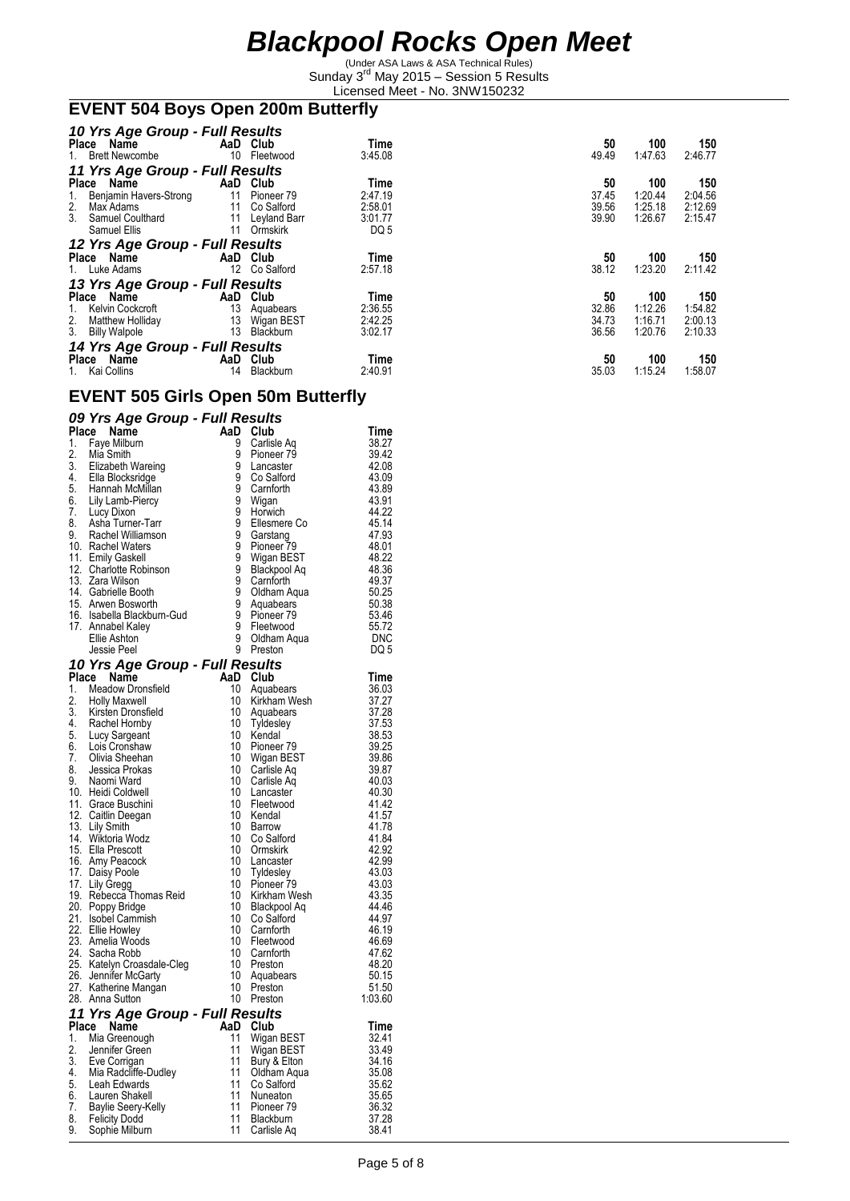(Under ASA Laws & ASA Technical Rules) Sunday 3<sup>rd</sup> May 2015 - Session 5 Results Licensed Meet - No. 3NW150232

#### **EVENT 504 Boys Open 200m Butterfly**

| 10 Yrs Age Group - Full Results         |                   |              |         |       |         |         |  |  |
|-----------------------------------------|-------------------|--------------|---------|-------|---------|---------|--|--|
| Place Name                              |                   | AaD Club     | Time    | 50    | 100     | 150     |  |  |
| 1. Brett Newcombe                       | 10                | Fleetwood    | 3:45.08 | 49.49 | 1.47.63 | 2:46.77 |  |  |
| 11 Yrs Age Group - Full Results         |                   |              |         |       |         |         |  |  |
| Place Name                              | AaD               | Club         | Time    | 50    | 100     | 150     |  |  |
| Benjamin Havers-Strong<br>1.            | 11                | Pioneer 79   | 2:47.19 | 37.45 | 1:20.44 | 2:04.56 |  |  |
| 2.<br>Max Adams                         | 11                | Co Salford   | 2:58.01 | 39.56 | 1:25.18 | 2:12.69 |  |  |
| 3.<br>Samuel Coulthard                  | 11                | Leyland Barr | 3:01.77 | 39.90 | 1:26.67 | 2:15.47 |  |  |
| Samuel Ellis                            | 11                | Ormskirk     | DQ 5    |       |         |         |  |  |
| 12 Yrs Age Group - Full Results         |                   |              |         |       |         |         |  |  |
| Place Name                              |                   | AaD Club     | Time    | 50    | 100     | 150     |  |  |
| 1. Luke Adams                           | $12 \overline{ }$ | Co Salford   | 2:57.18 | 38.12 | 1:23.20 | 2:11.42 |  |  |
| 13 Yrs Age Group - Full Results         |                   |              |         |       |         |         |  |  |
| Place Name                              | AaD               | Club         | Time    | 50    | 100     | 150     |  |  |
| Kelvin Cockcroft<br>1.                  | 13                | Aquabears    | 2:36.55 | 32.86 | 1:12.26 | 1:54.82 |  |  |
|                                         | 13                | Wigan BEST   | 2:42.25 | 34.73 | 1:16.71 | 2:00.13 |  |  |
| 2. Matthew Holliday<br>3. Billy Walpole | 13                | Blackburn    | 3:02.17 | 36.56 | 1:20.76 | 2:10.33 |  |  |
| 14 Yrs Age Group - Full Results         |                   |              |         |       |         |         |  |  |
| Place Name                              | AaD               | Club         | Time    | 50    | 100     | 150     |  |  |
| Kai Collins                             | 14                | Blackburn    | 2:40.91 | 35.03 | 1:15.24 | 1:58.07 |  |  |

### **EVENT 505 Girls Open 50m Butterfly**

#### *09 Yrs Age Group - Full Results*

| <b>Place</b> | <b>Name</b>                                                                                                                                                                                                        | AaD                   | Club                           | Time           |
|--------------|--------------------------------------------------------------------------------------------------------------------------------------------------------------------------------------------------------------------|-----------------------|--------------------------------|----------------|
| 1.           | Faye Milburn                                                                                                                                                                                                       | 9                     | Carlisle Aq                    | 38.27          |
|              | 1. raye window<br>2. Mia Smith<br>3. Elizabeth Wareing<br>4. Ella Blocksridge<br>5. Hannah McMillan<br>6. Lily Lamb-Piercy<br>7. Lucy Dixon<br>8. Asha Turner-Tarr<br>9. Rachel Williamson<br>9. Rachel Williamson | $\overline{9}$        | Pioneer <sub>79</sub>          | 39.42          |
|              |                                                                                                                                                                                                                    | ğ                     | Lancaster                      | 42.08          |
|              |                                                                                                                                                                                                                    | $\tilde{9}$           | Co Salford                     | 43.09          |
|              |                                                                                                                                                                                                                    | ğ                     | Carnforth                      | 43.89          |
|              |                                                                                                                                                                                                                    |                       | Wigan                          | 43.91          |
|              |                                                                                                                                                                                                                    | 9999                  | Horwich                        | 44.22          |
|              |                                                                                                                                                                                                                    |                       | Ellesmere Co                   | 45.14          |
|              |                                                                                                                                                                                                                    |                       | Garstang                       | 47.93          |
|              | 10. Rachel Waters<br>11. Emily Gaskell                                                                                                                                                                             |                       | Pioneer <sub>79</sub>          | 48.01          |
|              |                                                                                                                                                                                                                    | $\frac{9}{9}$         | Wigan BEST                     | 48.22          |
|              | 12. Charlotte Robinson                                                                                                                                                                                             |                       | <b>Blackpool Aq</b>            | 48.36          |
|              | 13. Zara Wilson<br>14. Gabrielle Booth                                                                                                                                                                             | 9<br>9                | Carnforth                      | 49.37<br>50.25 |
|              | 15. Arwen Bosworth                                                                                                                                                                                                 | ğ                     | Oldham Aqua<br>Aquabears       | 50.38          |
|              | 16. Isabella Blackburn-Gud                                                                                                                                                                                         |                       | Pioneer <sub>79</sub>          | 53.46          |
|              | 17. Annabel Kaley                                                                                                                                                                                                  | ğ<br>9                | Fleetwood                      | 55.72          |
|              | Ellie Ashton                                                                                                                                                                                                       | 9                     | Oldham Aqua                    | DNC            |
|              | Jessie Peel                                                                                                                                                                                                        | 9                     | Preston                        | DQ 5           |
|              |                                                                                                                                                                                                                    |                       |                                |                |
|              | 10 Yrs Age Group - Full Results<br>Place<br>Name                                                                                                                                                                   | AaD                   | Club                           | Time           |
| 1.           | Meadow Dronsfield                                                                                                                                                                                                  | 10                    | Aquabears                      | 36.03          |
|              |                                                                                                                                                                                                                    | 10                    | Kirkham Wesh                   | 37.27          |
|              |                                                                                                                                                                                                                    | 10                    | Aquabears                      | 37.28          |
|              |                                                                                                                                                                                                                    | 10                    | Tyldesley                      | 37.53          |
|              |                                                                                                                                                                                                                    | 10                    | Kendal                         | 38.53          |
|              |                                                                                                                                                                                                                    | 10 <sup>°</sup>       | Pioneer 79                     | 39.25          |
|              |                                                                                                                                                                                                                    | 10                    | Wigan BEST                     | 39.86          |
|              |                                                                                                                                                                                                                    | 10                    | Carlisle Ag                    | 39.87          |
|              | 1. Meadow Division.<br>2. Holly Maxwell<br>3. Kirsten Dronsfield<br>4. Rachel Hornby<br>5. Lucy Sargeant<br>6. Lois Cronshaw<br>7. Olivia Sheehan<br>8. Jessica Prokas<br>9. Naomi Ward<br>10. Haidi Coldwell      | 10                    | Carlisle Ag                    | 40.03          |
|              | 10. Heidi Coldwell<br>11. Grace Buschini                                                                                                                                                                           | 10                    | Lancaster                      | 40.30          |
|              |                                                                                                                                                                                                                    | 10 <sup>°</sup>       | Fleetwood                      | 41.42          |
|              | 12. Caitlin Deegan                                                                                                                                                                                                 | 10                    | Kendal                         | 41.57          |
|              | 13. Lily Smith<br>14. Wiktoria Wodz                                                                                                                                                                                | 10                    | Barrow                         | 41.78          |
|              |                                                                                                                                                                                                                    | 10                    | Co Salford                     | 41.84          |
|              | 15. Ella Prescott<br>16. Amy Peacock                                                                                                                                                                               | 10<br>10 <sup>°</sup> | Ormskirk                       | 42.92          |
|              |                                                                                                                                                                                                                    |                       | Lancaster                      | 42.99          |
|              | 17. Daisy Poole<br>17. Lily Gregg                                                                                                                                                                                  | 10<br>10              | <b>Tyldesley</b><br>Pioneer 79 | 43.03<br>43.03 |
|              | 19. Rebecca Thomas Reid                                                                                                                                                                                            | 10                    | Kirkham Wesh                   | 43.35          |
|              |                                                                                                                                                                                                                    | 10                    | Blackpool Aq                   | 44.46          |
|              | 20. Poppy Bridge<br>21. Isobel Cammish                                                                                                                                                                             | 10                    | Co Salford                     | 44.97          |
|              | 22. Ellie Howley                                                                                                                                                                                                   | 10                    | Carnforth                      | 46.19          |
|              | 23. Amelia Woods                                                                                                                                                                                                   | 10 <sup>°</sup>       | Fleetwood                      | 46.69          |
|              | 24. Sacha Robb                                                                                                                                                                                                     | 10                    | Carnforth                      | 47.62          |
|              |                                                                                                                                                                                                                    |                       | Preston                        | 48.20          |
|              | 25. Katelyn Croasdale-Cleg 10<br>26. Jennifer McGarty 10<br>27. Kathorine Managn 10                                                                                                                                |                       | Aquabears                      | 50.15          |
|              | 27. Katherine Mangan                                                                                                                                                                                               | 10 <sup>°</sup>       | Preston                        | 51.50          |
|              | 28. Anna Sutton                                                                                                                                                                                                    | 10                    | Preston                        | 1:03.60        |
|              | 11 Yrs Age Group - Full Results                                                                                                                                                                                    |                       |                                |                |
|              | Place Name                                                                                                                                                                                                         |                       | AaD Club                       | Time           |
| 1.           | Mia Greenough                                                                                                                                                                                                      | 11                    | Wigan BEST                     | 32.41          |
| 2.           | 2. Jennifer Green<br>3. Eve Corrigan                                                                                                                                                                               | 11                    | Wigan BEST                     | 33.49          |
|              |                                                                                                                                                                                                                    | 11                    | Bury & Elton                   | 34.16          |
|              | 4. Mia Radcliffe-Dudley<br>5. Leah Edwards                                                                                                                                                                         | 11<br>11              | Oldham Aqua                    | 35.08<br>35.62 |
|              |                                                                                                                                                                                                                    | 11                    | Co Salford<br>Nuneaton         | 35.65          |
|              | 6. Lauren Shakell<br>7. Baylie Seery-Kelly                                                                                                                                                                         | 11                    | Pioneer 79                     | 36.32          |
| 8.           | <b>Felicity Dodd</b>                                                                                                                                                                                               | 11                    | Blackburn                      | 37.28          |
| 9.           | Sophie Milburn                                                                                                                                                                                                     | 11                    | Carlisle Aq                    | 38.41          |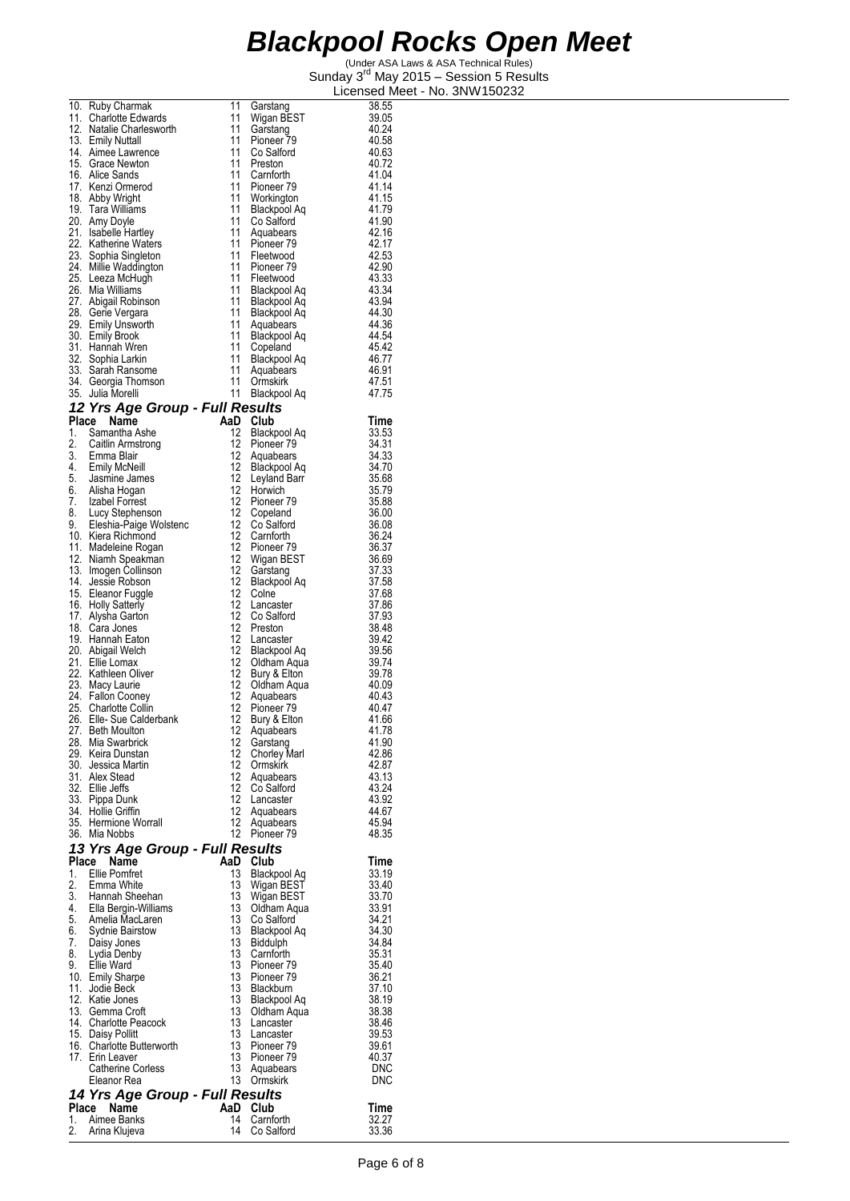|          | 10. Ruby Charmak                                                         | 11                     | Garstang                            | 38.55               |
|----------|--------------------------------------------------------------------------|------------------------|-------------------------------------|---------------------|
|          | 11. Charlotte Edwards                                                    | 11                     | Wigan BEST                          | 39.05               |
|          | 12. Natalie Charlesworth<br>13. Emily Nuttall                            | 11<br>11               | Garstang<br>Pioneer 79              | 40.24<br>40.58      |
|          | 14. Aimee Lawrence                                                       | 11                     | Co Salford                          | 40.63               |
|          | 15. Grace Newton                                                         | 11                     | Preston                             | 40.72               |
|          | 16. Alice Sands                                                          | 11<br>11               | Carnforth                           | 41.04               |
|          | 17. Kenzi Ormerod<br>18. Abby Wright                                     | 11                     | Pioneer <sub>79</sub><br>Workington | 41.14<br>41.15      |
|          | 19. Tara Williams                                                        | 11                     | Blackpool Aq                        | 41.79               |
|          | 20. Amy Doyle                                                            | 11                     | Co Salford                          | 41.90               |
|          | 21. Isabelle Hartley                                                     | 11                     | Aquabears                           | 42.16               |
|          | 22. Katherine Waters<br>23. Sophia Singleton                             | 11<br>11               | Pioneer <sub>79</sub><br>Fleetwood  | 42.17<br>42.53      |
|          | 24. Millie Waddington                                                    | 11                     | Pioneer 79                          | 42.90               |
|          | 25. Leeza McHugh                                                         | 11                     | Fleetwood                           | 43.33               |
|          | 26. Mia Williams                                                         | 11                     | Blackpool Aq                        | 43.34               |
|          | 27. Abigail Robinson<br>28. Gerie Vergara                                | 11<br>11               | Blackpool Aq<br>Blackpool Aq        | 43.94<br>44.30      |
|          | 29. Emily Unsworth                                                       | 11                     | Aquabears                           | 44.36               |
|          | 30. Emily Brook                                                          | 11                     | Blackpool Aq                        | 44.54               |
|          | 31. Hannah Wren                                                          | 11                     | Copeland                            | 45.42               |
|          | 32. Sophia Larkin<br>33. Sarah Ransome                                   | 11<br>11               | Blackpool Aq<br>Aquabears           | 46.77<br>46.91      |
|          | 34. Georgia Thomson                                                      | 11                     | Ormskirk                            | 47.51               |
|          | 35. Julia Morelli                                                        | 11                     | Blackpool Aq                        | 47.75               |
|          | 12 Yrs Age Group - Full Results                                          |                        |                                     |                     |
|          | Place Name                                                               | AaD                    | Club                                | Time                |
| 1.       | Samantha Ashe                                                            | 12                     | Blackpool Aq                        | 33.53               |
| 2.       | Caitlin Armstrong                                                        | 12 <sup>12</sup><br>12 | Pioneer 79                          | 34.31<br>34.33      |
|          | 3. Emma Blair<br>4. Emily McNeill<br>5. Jasmine James<br>6. Alisha Hogan | 12                     | Aquabears<br>Blackpool Aq           | 34.70               |
|          |                                                                          | 12                     | Leyland Barr                        | 35.68               |
|          |                                                                          | 12                     | Horwich                             | 35.79               |
|          | 7. Izabel Forrest<br>8. Lucy Stephenson                                  | 12<br>12               | Pioneer 79                          | 35.88<br>36.00      |
| 9.       | Eleshia-Paige Wolstenc                                                   | 12                     | Copeland<br>Co Salford              | 36.08               |
|          | 10. Kiera Richmond                                                       | 12                     | Carnforth                           | 36.24               |
|          | 11. Madeleine Rogan                                                      | 12                     | Pioneer 79                          | 36.37               |
|          | 12. Niamh Speakman<br>13. Imogen Collinson                               | 12<br>12               | Wigan BEST                          | 36.69<br>37.33      |
|          | 14. Jessie Robson                                                        | 12                     | Garstang<br>Blackpool Aq            | 37.58               |
|          | 15. Eleanor Fuggle                                                       | 12                     | Colne                               | 37.68               |
|          | 16. Holly Satterly                                                       | 12                     | Lancaster                           | 37.86               |
|          | 17. Alysha Garton                                                        | 12<br>12               | Co Salford                          | 37.93<br>38.48      |
|          | 18. Cara Jones<br>19. Hannah Eaton                                       | 12                     | Preston<br>Lancaster                | 39.42               |
|          | 20. Abigail Welch                                                        | 12                     | Blackpool Aq                        | 39.56               |
|          | 21. Ellie Lomax                                                          | 12                     | Oldham Aqua                         | 39.74               |
|          | 22. Kathleen Oliver                                                      | 12<br>12               | Bury & Elton                        | 39.78               |
|          | 23. Macy Laurie<br>24. Fallon Cooney                                     | 12                     | Oldham Aqua<br>Aquabears            | 40.09<br>40.43      |
|          | 25. Charlotte Collin                                                     | 12                     | Pioneer <sub>79</sub>               | 40.47               |
|          | 26. Elle- Sue Calderbank                                                 | 12                     | Bury & Elton                        | 41.66               |
| 28.      | 27. Beth Moulton<br>Mia Swarbrick                                        | 12<br>12               | Aquabears                           | 41.78<br>41.90      |
|          | 29. Keira Dunstan                                                        | 12                     | Garstang<br><b>Chorley Marl</b>     | 42.86               |
|          | 30. Jessica Martin                                                       | 12 <sup>°</sup>        | Ormskirk                            | 42.87               |
|          | 31. Alex Stead                                                           | $12 \overline{ }$      | Aquabears                           | 43.13               |
|          | 32. Ellie Jeffs                                                          | 12 <sup>°</sup><br>12  | Co Salford                          | 43.24<br>43.92      |
|          | 33. Pippa Dunk<br>34. Hollie Griffin                                     | 12                     | Lancaster<br>Aquabears              | 44.67               |
|          | 35. Hermione Worrall                                                     | 12 <sup>12</sup>       | Aquabears                           | 45.94               |
|          | 36. Mia Nobbs                                                            | 12                     | Pioneer 79                          | 48.35               |
|          | 13 Yrs Age Group - Full Results                                          |                        |                                     |                     |
| Place    | Name                                                                     | AaD                    | Club                                | Time                |
| 1.<br>2. | Ellie Pomfret<br>Emma White                                              | 13<br>13               | Blackpool Aq<br>Wigan BEST          | 33.19<br>33.40      |
| 3.       | Hannah Sheehan                                                           | 13                     | Wigan BEST                          | 33.70               |
| 4.       | Ella Bergin-Williams                                                     | 13                     | Oldham Aqua                         | 33.91               |
| 5.       | Amelia MacLaren                                                          | 13                     | Co Salford                          | 34.21               |
| 6.<br>7. | <b>Sydnie Bairstow</b>                                                   | 13<br>13               | Blackpool Aq                        | 34.30<br>34.84      |
| 8.       | Daisy Jones<br>Lydia Denby                                               | 13                     | Biddulph<br>Carnforth               | 35.31               |
| 9.       | Ellie Ward                                                               | 13                     | Pioneer <sub>79</sub>               | 35.40               |
|          | 10. Emily Sharpe                                                         | 13                     | Pioneer 79                          | 36.21               |
|          | 11. Jodie Beck<br>12. Katie Jones                                        | 13<br>13               | Blackburn                           | 37.10<br>38.19      |
|          | 13. Gemma Croft                                                          | 13                     | Blackpool Aq<br>Oldham Aqua         | 38.38               |
|          | 14. Charlotte Peacock                                                    | 13                     | Lancaster                           | 38.46               |
|          | 15. Daisy Pollitt                                                        | 13                     | Lancaster                           | 39.53               |
|          | 16. Charlotte Butterworth                                                | 13<br>13               | Pioneer <sub>79</sub>               | 39.61               |
|          | 17. Erin Leaver<br>Catherine Corless                                     | 13                     | Pioneer 79<br>Aquabears             | 40.37<br><b>DNC</b> |
|          | Eleanor Rea                                                              | 13                     | Ormskirk                            | <b>DNC</b>          |
|          | 14 Yrs Age Group - Full Results                                          |                        |                                     |                     |
|          | Place Name                                                               |                        | AaD Club                            | Time                |
| 1.       | Aimee Banks                                                              | 14                     | Carnforth                           | 32.27               |
| 2.       | Arina Klujeva                                                            | 14                     | Co Salford                          | 33.36               |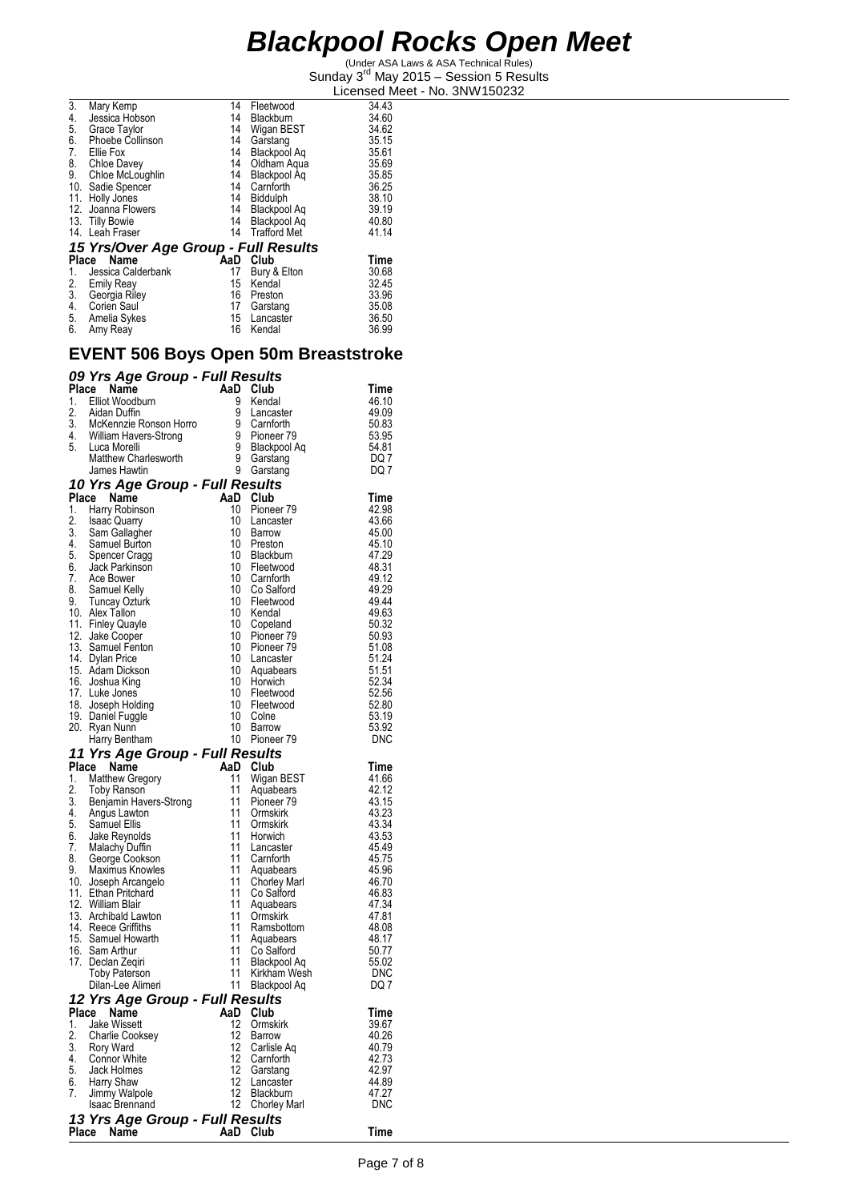(Under ASA Laws & ASA Technical Rules) Sunday 3<sup>rd</sup> May 2015 - Session 5 Results Licensed Meet - No. 3NW150232

| 3.    | Mary Kemp                            | 14  | Fleetwood           | 34.43 |
|-------|--------------------------------------|-----|---------------------|-------|
| 4.    | Jessica Hobson                       | 14  | Blackburn           | 34.60 |
| 5.    | Grace Taylor                         | 14  | Wigan BEST          | 34.62 |
| 6.    | Phoebe Collinson                     | 14  | Garstang            | 35.15 |
| 7.    | Ellie Fox                            | 14  | Blackpool Aq        | 35.61 |
| 8.    | Chloe Davey                          | 14  | Oldham Agua         | 35.69 |
| 9.    | Chloe McLoughlin                     | 14  | Blackpool Aq        | 35.85 |
|       | 10. Sadie Spencer                    | 14  | Carnforth           | 36.25 |
| 11.   | Holly Jones                          | 14  | Biddulph            | 38.10 |
|       | 12. Joanna Flowers                   | 14  | Blackpool Ag        | 39.19 |
|       | 13. Tilly Bowie                      | 14  | Blackpool Aq        | 40.80 |
|       | 14. Leah Fraser                      | 14  | <b>Trafford Met</b> | 41.14 |
|       | 15 Yrs/Over Age Group - Full Results |     |                     |       |
| Place | Name                                 | AaD | Club                | Time  |
| 1.    | Jessica Calderbank                   | 17  | Bury & Elton        | 30.68 |
| 2.    | <b>Emily Reay</b>                    | 15  | Kendal              | 32.45 |
| 3.    | Georgia Riley                        | 16  | Preston             | 33.96 |
| 4.    | Corien Saul                          | 17  | Garstang            | 35.08 |
| 5.    | Amelia Sykes                         | 15  | Lancaster           | 36.50 |
| 6.    | Amy Reay                             | 16  | Kendal              | 36.99 |
|       |                                      |     |                     |       |

#### **EVENT 506 Boys Open 50m Breaststroke**

|          | 09 Yrs Age Group - Full Results                              |           |   |                              |                |
|----------|--------------------------------------------------------------|-----------|---|------------------------------|----------------|
|          | Place<br>Name                                                | AaD       |   | Club                         | Time           |
| 1.       | Elliot Woodburn                                              | 9         |   | Kendal                       | 46.10          |
| 2.       | Aidan Duffin                                                 | 9         |   | Lancaster                    | 49.09          |
|          | 3. McKennzie Ronson Horro<br>4. William Havers-Strong        | 9         |   | Carnforth                    | 50.83          |
|          |                                                              | 9         |   | Pioneer 79                   | 53.95          |
|          | 5. Luca Morelli                                              |           | 9 | Blackpool Aq                 | 54.81          |
|          | <b>Matthew Charlesworth</b>                                  | 9         |   | Garstang                     | DQ 7           |
|          | James Hawtin                                                 | 9         |   | Garstang                     | DQ 7           |
|          | 10 Yrs Age Group - Full Results                              |           |   |                              |                |
|          | Place Name                                                   | AaD<br>10 |   | Club                         | Time           |
| 1.<br>2. | Harry Robinson<br><b>Isaac Quarry</b>                        | 10        |   | Pioneer 79<br>Lancaster      | 42.98<br>43.66 |
| 3.       | Sam Gallagher                                                | 10        |   | Barrow                       | 45.00          |
|          | 4. Samuel Burton                                             | 10        |   | Preston                      | 45.10          |
|          | 5. Spencer Cragg                                             | 10        |   | Blackburn                    | 47.29          |
|          | 6. Jack Parkinson                                            | 10        |   | Fleetwood                    | 48.31          |
| 7.       | Ace Bower                                                    | 10        |   | Carnforth                    | 49.12          |
|          | 8. Samuel Kelly<br>9. Tuncay Ozturk                          | 10        |   | Co Salford                   | 49.29          |
|          |                                                              | 10        |   | Fleetwood                    | 49.44          |
|          | 10. Alex Tallon                                              | 10        |   | Kendal                       | 49.63          |
|          | 11. Finley Quayle                                            | 10        |   | Copeland                     | 50.32          |
|          | 12. Jake Cooper                                              | 10        |   | Pioneer 79                   | 50.93          |
|          | 13. Samuel Fenton                                            | 10<br>10  |   | Pioneer 79                   | 51.08<br>51.24 |
|          | 14. Dylan Price<br>15. Adam Dickson                          | 10        |   | Lancaster<br>Aquabears       | 51.51          |
|          | 16. Joshua King                                              | 10        |   | Horwich                      | 52.34          |
|          | 17. Luke Jones                                               | 10        |   | Fleetwood                    | 52.56          |
|          | 18. Joseph Holding                                           | 10        |   | Fleetwood                    | 52.80          |
|          | 19. Daniel Fuggle                                            | 10        |   | Colne                        | 53.19          |
|          | 20. Ryan Nunn                                                | 10        |   | Barrow                       | 53.92          |
|          | Harry Bentham                                                | 10        |   | Pioneer 79                   | <b>DNC</b>     |
|          | 11 Yrs Age Group - Full Results                              |           |   |                              |                |
|          | Place Name                                                   | AaD       |   | Club                         | Time           |
| 1.       | <b>Matthew Gregory</b>                                       | 11        |   | Wigan BEST                   | 41.66          |
|          | 2. Toby Ranson<br>3. Benjamin Havers-Strong<br>Anglie Lawton | 11        |   | Aquabears                    | 42.12          |
|          |                                                              | 11        |   | Pioneer <sub>79</sub>        | 43.15          |
|          |                                                              | 11<br>11  |   | Ormskirk                     | 43.23          |
| 6.       | 5. Samuel Ellis                                              | 11        |   | Ormskirk<br>Horwich          | 43.34<br>43.53 |
|          | Jake Reynolds<br>7. Malachy Duffin                           | 11        |   | Lancaster                    | 45.49          |
|          | 8. George Cookson                                            | 11        |   | Carnforth                    | 45.75          |
| 9.       | Maximus Knowles                                              | 11        |   | Aquabears                    | 45.96          |
|          | 10. Joseph Arcangelo                                         | 11        |   | <b>Chorley Marl</b>          | 46.70          |
|          | 11. Ethan Pritchard                                          | 11        |   | Co Salford                   | 46.83          |
|          | 12. William Blair                                            | 11        |   | Aquabears                    | 47.34          |
|          | 13. Archibald Lawton                                         | 11        |   | Ormskirk                     | 47.81          |
|          | 14. Reece Griffiths                                          | 11        |   | Ramsbottom                   | 48.08          |
|          | 15. Samuel Howarth                                           | 11        |   | Aquabears                    | 48.17          |
|          | 16. Sam Arthur                                               | 11        |   | Co Salford                   | 50.77          |
|          | 17. Declan Zeqiri                                            | 11<br>11  |   | Blackpool Aq<br>Kirkham Wesh | 55.02<br>DNC   |
|          | <b>Toby Paterson</b><br>Dilan-Lee Alimeri                    | 11        |   | Blackpool Aq                 | DQ 7           |
|          | 12 Yrs Age Group - Full Results                              |           |   |                              |                |
| Place    | Name                                                         | AaD       |   | Club                         | Time           |
| 1.       | <b>Jake Wissett</b>                                          | 12        |   | Ormskirk                     | 39.67          |
| 2.       | Charlie Cooksey                                              | 12        |   | Barrow                       | 40.26          |
| 3.       | Rory Ward                                                    | 12        |   | Carlisle Aq                  | 40.79          |
| 4.       | Connor White                                                 | 12        |   | Carnforth                    | 42.73          |
| 5.       | Jack Holmes                                                  | 12        |   | Garstang                     | 42.97          |
| 6.       | Harry Shaw                                                   | 12        |   | Lancaster                    | 44.89          |
| 7.       | Jimmy Walpole                                                | 12        |   | Blackburn                    | 47.27          |
|          | Isaac Brennand                                               | 12        |   | <b>Chorley Marl</b>          | <b>DNC</b>     |
|          | 13 Yrs Age Group - Full Results                              |           |   |                              |                |
| Place    | Name                                                         | AaD       |   | Club                         | Time           |